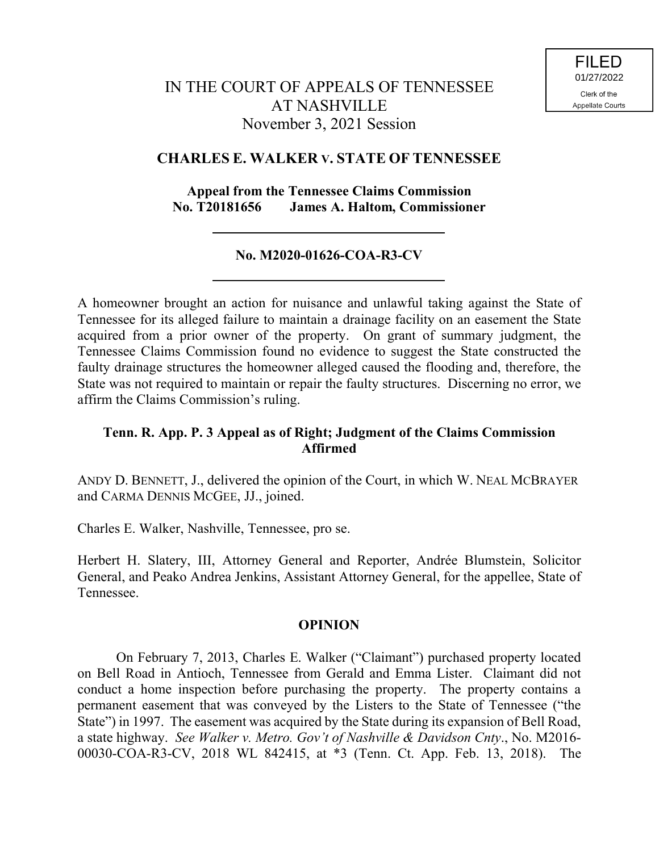## **CHARLES E. WALKER V. STATE OF TENNESSEE**

## **Appeal from the Tennessee Claims Commission No. T20181656 James A. Haltom, Commissioner**

# **No. M2020-01626-COA-R3-CV**

A homeowner brought an action for nuisance and unlawful taking against the State of Tennessee for its alleged failure to maintain a drainage facility on an easement the State acquired from a prior owner of the property. On grant of summary judgment, the Tennessee Claims Commission found no evidence to suggest the State constructed the faulty drainage structures the homeowner alleged caused the flooding and, therefore, the State was not required to maintain or repair the faulty structures. Discerning no error, we affirm the Claims Commission's ruling.

## **Tenn. R. App. P. 3 Appeal as of Right; Judgment of the Claims Commission Affirmed**

ANDY D. BENNETT, J., delivered the opinion of the Court, in which W. NEAL MCBRAYER and CARMA DENNIS MCGEE, JJ., joined.

Charles E. Walker, Nashville, Tennessee, pro se.

Herbert H. Slatery, III, Attorney General and Reporter, Andrée Blumstein, Solicitor General, and Peako Andrea Jenkins, Assistant Attorney General, for the appellee, State of Tennessee.

### **OPINION**

On February 7, 2013, Charles E. Walker ("Claimant") purchased property located on Bell Road in Antioch, Tennessee from Gerald and Emma Lister. Claimant did not conduct a home inspection before purchasing the property. The property contains a permanent easement that was conveyed by the Listers to the State of Tennessee ("the State") in 1997. The easement was acquired by the State during its expansion of Bell Road, a state highway. *See Walker v. Metro. Gov't of Nashville & Davidson Cnty*., No. M2016- 00030-COA-R3-CV, 2018 WL 842415, at \*3 (Tenn. Ct. App. Feb. 13, 2018). The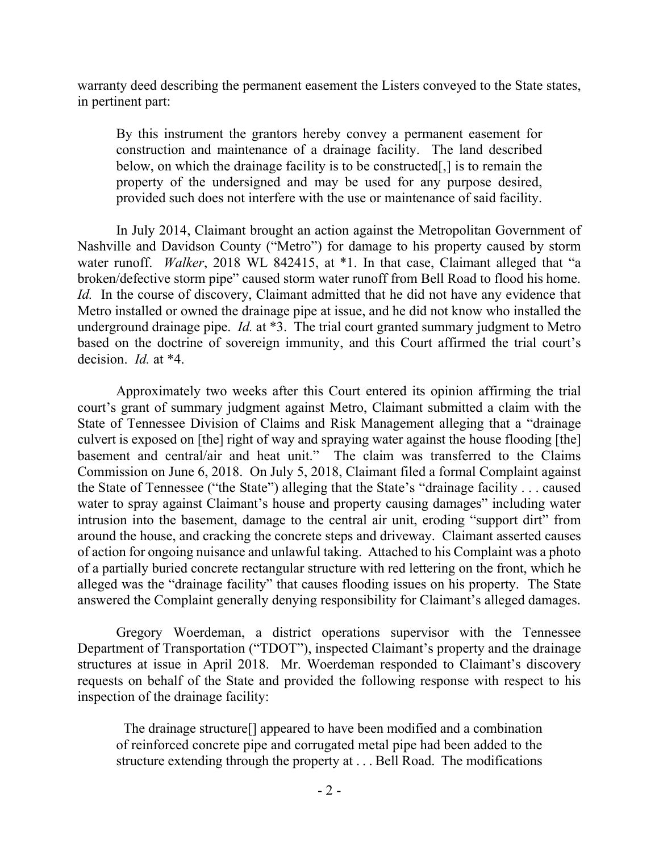warranty deed describing the permanent easement the Listers conveyed to the State states, in pertinent part:

By this instrument the grantors hereby convey a permanent easement for construction and maintenance of a drainage facility. The land described below, on which the drainage facility is to be constructed[,] is to remain the property of the undersigned and may be used for any purpose desired, provided such does not interfere with the use or maintenance of said facility.

In July 2014, Claimant brought an action against the Metropolitan Government of Nashville and Davidson County ("Metro") for damage to his property caused by storm water runoff. *Walker*, 2018 WL 842415, at \*1. In that case, Claimant alleged that "a broken/defective storm pipe" caused storm water runoff from Bell Road to flood his home. *Id.* In the course of discovery, Claimant admitted that he did not have any evidence that Metro installed or owned the drainage pipe at issue, and he did not know who installed the underground drainage pipe. *Id.* at \*3. The trial court granted summary judgment to Metro based on the doctrine of sovereign immunity, and this Court affirmed the trial court's decision. *Id.* at \*4.

Approximately two weeks after this Court entered its opinion affirming the trial court's grant of summary judgment against Metro, Claimant submitted a claim with the State of Tennessee Division of Claims and Risk Management alleging that a "drainage culvert is exposed on [the] right of way and spraying water against the house flooding [the] basement and central/air and heat unit." The claim was transferred to the Claims Commission on June 6, 2018. On July 5, 2018, Claimant filed a formal Complaint against the State of Tennessee ("the State") alleging that the State's "drainage facility . . . caused water to spray against Claimant's house and property causing damages" including water intrusion into the basement, damage to the central air unit, eroding "support dirt" from around the house, and cracking the concrete steps and driveway. Claimant asserted causes of action for ongoing nuisance and unlawful taking. Attached to his Complaint was a photo of a partially buried concrete rectangular structure with red lettering on the front, which he alleged was the "drainage facility" that causes flooding issues on his property. The State answered the Complaint generally denying responsibility for Claimant's alleged damages.

Gregory Woerdeman, a district operations supervisor with the Tennessee Department of Transportation ("TDOT"), inspected Claimant's property and the drainage structures at issue in April 2018. Mr. Woerdeman responded to Claimant's discovery requests on behalf of the State and provided the following response with respect to his inspection of the drainage facility:

 The drainage structure[] appeared to have been modified and a combination of reinforced concrete pipe and corrugated metal pipe had been added to the structure extending through the property at . . . Bell Road. The modifications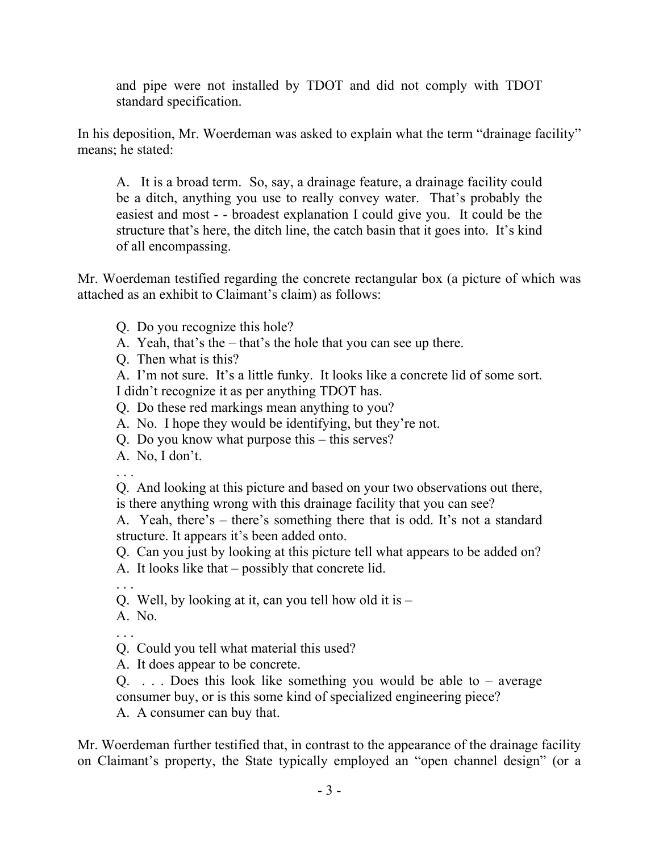and pipe were not installed by TDOT and did not comply with TDOT standard specification.

In his deposition, Mr. Woerdeman was asked to explain what the term "drainage facility" means; he stated:

A. It is a broad term. So, say, a drainage feature, a drainage facility could be a ditch, anything you use to really convey water. That's probably the easiest and most - - broadest explanation I could give you. It could be the structure that's here, the ditch line, the catch basin that it goes into. It's kind of all encompassing.

Mr. Woerdeman testified regarding the concrete rectangular box (a picture of which was attached as an exhibit to Claimant's claim) as follows:

Q. Do you recognize this hole?

A. Yeah, that's the – that's the hole that you can see up there.

Q. Then what is this?

A. I'm not sure. It's a little funky. It looks like a concrete lid of some sort. I didn't recognize it as per anything TDOT has.

Q. Do these red markings mean anything to you?

A. No. I hope they would be identifying, but they're not.

Q. Do you know what purpose this – this serves?

A. No, I don't.

. . .

Q. And looking at this picture and based on your two observations out there, is there anything wrong with this drainage facility that you can see?

A. Yeah, there's – there's something there that is odd. It's not a standard structure. It appears it's been added onto.

Q. Can you just by looking at this picture tell what appears to be added on?

A. It looks like that – possibly that concrete lid.

. . .

Q. Well, by looking at it, can you tell how old it is –

A. No.

. . .

Q. Could you tell what material this used?

A. It does appear to be concrete.

 $Q_{\text{max}}$ ... Does this look like something you would be able to – average consumer buy, or is this some kind of specialized engineering piece?

A. A consumer can buy that.

Mr. Woerdeman further testified that, in contrast to the appearance of the drainage facility on Claimant's property, the State typically employed an "open channel design" (or a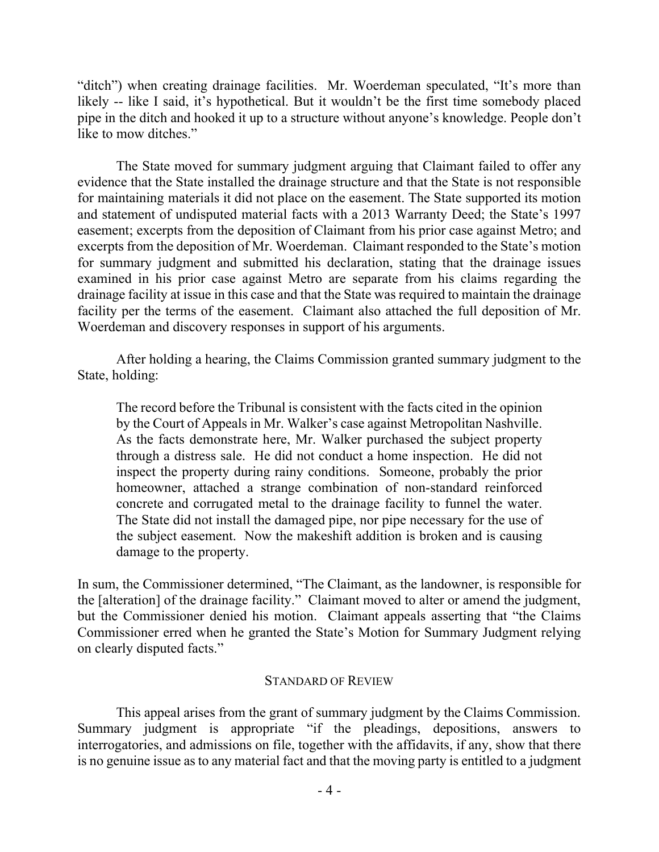"ditch") when creating drainage facilities. Mr. Woerdeman speculated, "It's more than likely -- like I said, it's hypothetical. But it wouldn't be the first time somebody placed pipe in the ditch and hooked it up to a structure without anyone's knowledge. People don't like to mow ditches."

The State moved for summary judgment arguing that Claimant failed to offer any evidence that the State installed the drainage structure and that the State is not responsible for maintaining materials it did not place on the easement. The State supported its motion and statement of undisputed material facts with a 2013 Warranty Deed; the State's 1997 easement; excerpts from the deposition of Claimant from his prior case against Metro; and excerpts from the deposition of Mr. Woerdeman. Claimant responded to the State's motion for summary judgment and submitted his declaration, stating that the drainage issues examined in his prior case against Metro are separate from his claims regarding the drainage facility at issue in this case and that the State was required to maintain the drainage facility per the terms of the easement. Claimant also attached the full deposition of Mr. Woerdeman and discovery responses in support of his arguments.

After holding a hearing, the Claims Commission granted summary judgment to the State, holding:

The record before the Tribunal is consistent with the facts cited in the opinion by the Court of Appeals in Mr. Walker's case against Metropolitan Nashville. As the facts demonstrate here, Mr. Walker purchased the subject property through a distress sale. He did not conduct a home inspection. He did not inspect the property during rainy conditions. Someone, probably the prior homeowner, attached a strange combination of non-standard reinforced concrete and corrugated metal to the drainage facility to funnel the water. The State did not install the damaged pipe, nor pipe necessary for the use of the subject easement. Now the makeshift addition is broken and is causing damage to the property.

In sum, the Commissioner determined, "The Claimant, as the landowner, is responsible for the [alteration] of the drainage facility." Claimant moved to alter or amend the judgment, but the Commissioner denied his motion. Claimant appeals asserting that "the Claims Commissioner erred when he granted the State's Motion for Summary Judgment relying on clearly disputed facts."

### STANDARD OF REVIEW

This appeal arises from the grant of summary judgment by the Claims Commission. Summary judgment is appropriate "if the pleadings, depositions, answers to interrogatories, and admissions on file, together with the affidavits, if any, show that there is no genuine issue as to any material fact and that the moving party is entitled to a judgment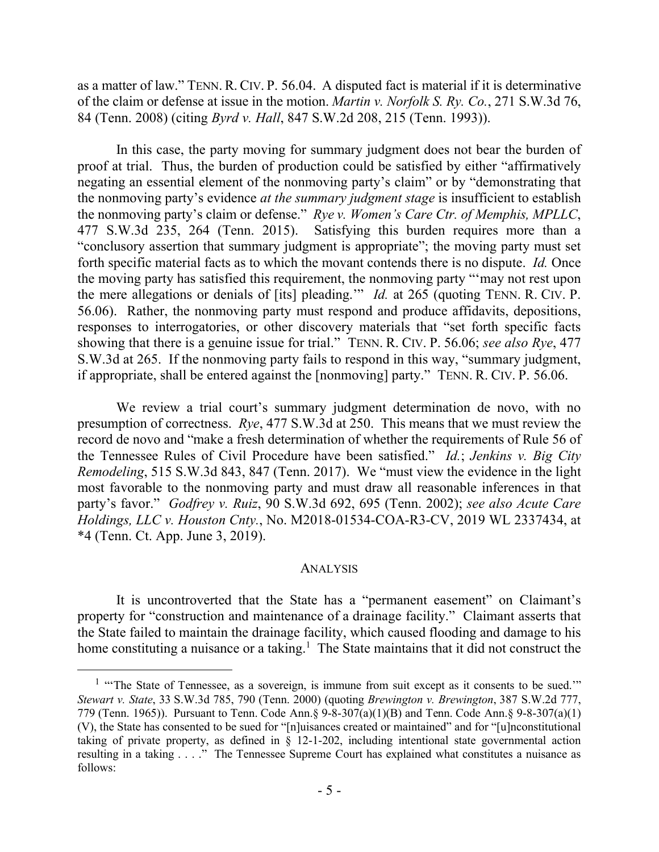as a matter of law." TENN. R. CIV. P. 56.04. A disputed fact is material if it is determinative of the claim or defense at issue in the motion. *Martin v. Norfolk S. Ry. Co.*, 271 S.W.3d 76, 84 (Tenn. 2008) (citing *Byrd v. Hall*, 847 S.W.2d 208, 215 (Tenn. 1993)).

In this case, the party moving for summary judgment does not bear the burden of proof at trial. Thus, the burden of production could be satisfied by either "affirmatively negating an essential element of the nonmoving party's claim" or by "demonstrating that the nonmoving party's evidence *at the summary judgment stage* is insufficient to establish the nonmoving party's claim or defense." *Rye v. Women's Care Ctr. of Memphis, MPLLC*, 477 S.W.3d 235, 264 (Tenn. 2015). Satisfying this burden requires more than a "conclusory assertion that summary judgment is appropriate"; the moving party must set forth specific material facts as to which the movant contends there is no dispute. *Id.* Once the moving party has satisfied this requirement, the nonmoving party "'may not rest upon the mere allegations or denials of [its] pleading.'" *Id.* at 265 (quoting TENN. R. CIV. P. 56.06). Rather, the nonmoving party must respond and produce affidavits, depositions, responses to interrogatories, or other discovery materials that "set forth specific facts showing that there is a genuine issue for trial." TENN. R. CIV. P. 56.06; *see also Rye*, 477 S.W.3d at 265. If the nonmoving party fails to respond in this way, "summary judgment, if appropriate, shall be entered against the [nonmoving] party." TENN. R. CIV. P. 56.06.

We review a trial court's summary judgment determination de novo, with no presumption of correctness. *Rye*, 477 S.W.3d at 250. This means that we must review the record de novo and "make a fresh determination of whether the requirements of Rule 56 of the Tennessee Rules of Civil Procedure have been satisfied." *Id.*; *Jenkins v. Big City Remodeling*, 515 S.W.3d 843, 847 (Tenn. 2017). We "must view the evidence in the light most favorable to the nonmoving party and must draw all reasonable inferences in that party's favor." *Godfrey v. Ruiz*, 90 S.W.3d 692, 695 (Tenn. 2002); *see also Acute Care Holdings, LLC v. Houston Cnty.*, No. M2018-01534-COA-R3-CV, 2019 WL 2337434, at \*4 (Tenn. Ct. App. June 3, 2019).

#### ANALYSIS

It is uncontroverted that the State has a "permanent easement" on Claimant's property for "construction and maintenance of a drainage facility." Claimant asserts that the State failed to maintain the drainage facility, which caused flooding and damage to his home constituting a nuisance or a taking.<sup>1</sup> The State maintains that it did not construct the

 $\overline{a}$ 

<sup>&</sup>lt;sup>1</sup> "The State of Tennessee, as a sovereign, is immune from suit except as it consents to be sued."" *Stewart v. State*, 33 S.W.3d 785, 790 (Tenn. 2000) (quoting *Brewington v. Brewington*, 387 S.W.2d 777, 779 (Tenn. 1965)). Pursuant to Tenn. Code Ann.§ 9-8-307(a)(1)(B) and Tenn. Code Ann.§ 9-8-307(a)(1) (V), the State has consented to be sued for "[n]uisances created or maintained" and for "[u]nconstitutional taking of private property, as defined in § 12-1-202, including intentional state governmental action resulting in a taking . . . ." The Tennessee Supreme Court has explained what constitutes a nuisance as follows: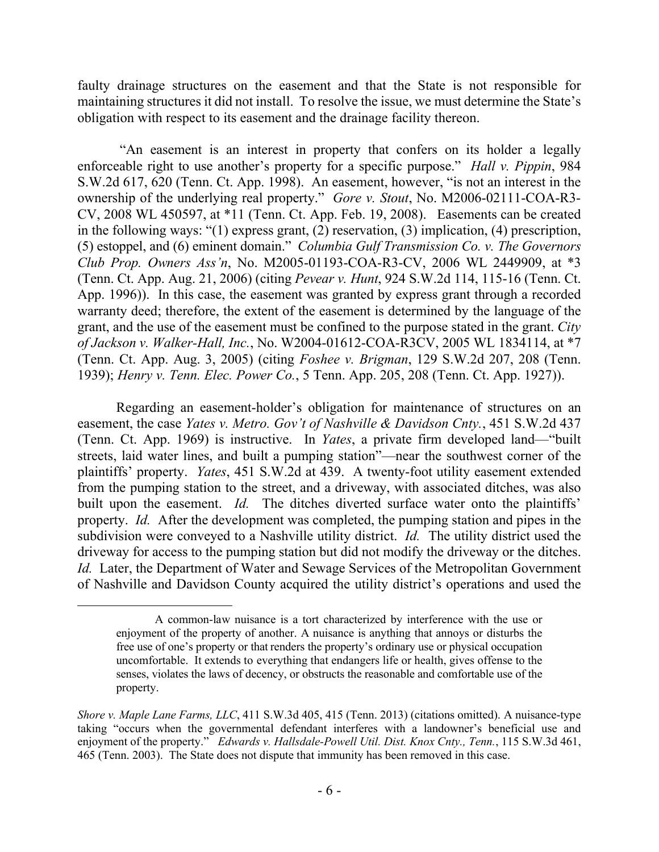faulty drainage structures on the easement and that the State is not responsible for maintaining structures it did not install. To resolve the issue, we must determine the State's obligation with respect to its easement and the drainage facility thereon.

"An easement is an interest in property that confers on its holder a legally enforceable right to use another's property for a specific purpose." *Hall v. Pippin*, 984 S.W.2d 617, 620 (Tenn. Ct. App. 1998). An easement, however, "is not an interest in the ownership of the underlying real property." *Gore v. Stout*, No. M2006-02111-COA-R3- CV, 2008 WL 450597, at \*11 (Tenn. Ct. App. Feb. 19, 2008). Easements can be created in the following ways: "(1) express grant, (2) reservation, (3) implication, (4) prescription, (5) estoppel, and (6) eminent domain." *Columbia Gulf Transmission Co. v. The Governors Club Prop. Owners Ass'n*, No. M2005-01193-COA-R3-CV, 2006 WL 2449909, at \*3 (Tenn. Ct. App. Aug. 21, 2006) (citing *Pevear v. Hunt*, 924 S.W.2d 114, 115-16 (Tenn. Ct. App. 1996)). In this case, the easement was granted by express grant through a recorded warranty deed; therefore, the extent of the easement is determined by the language of the grant, and the use of the easement must be confined to the purpose stated in the grant. *City of Jackson v. Walker-Hall, Inc.*, No. W2004-01612-COA-R3CV, 2005 WL 1834114, at \*7 (Tenn. Ct. App. Aug. 3, 2005) (citing *Foshee v. Brigman*, 129 S.W.2d 207, 208 (Tenn. 1939); *Henry v. Tenn. Elec. Power Co.*, 5 Tenn. App. 205, 208 (Tenn. Ct. App. 1927)).

Regarding an easement-holder's obligation for maintenance of structures on an easement, the case *Yates v. Metro. Gov't of Nashville & Davidson Cnty.*, 451 S.W.2d 437 (Tenn. Ct. App. 1969) is instructive. In *Yates*, a private firm developed land—"built streets, laid water lines, and built a pumping station"—near the southwest corner of the plaintiffs' property. *Yates*, 451 S.W.2d at 439. A twenty-foot utility easement extended from the pumping station to the street, and a driveway, with associated ditches, was also built upon the easement. *Id*. The ditches diverted surface water onto the plaintiffs' property. *Id.* After the development was completed, the pumping station and pipes in the subdivision were conveyed to a Nashville utility district. *Id.* The utility district used the driveway for access to the pumping station but did not modify the driveway or the ditches. *Id.* Later, the Department of Water and Sewage Services of the Metropolitan Government of Nashville and Davidson County acquired the utility district's operations and used the

 $\overline{a}$ 

A common-law nuisance is a tort characterized by interference with the use or enjoyment of the property of another. A nuisance is anything that annoys or disturbs the free use of one's property or that renders the property's ordinary use or physical occupation uncomfortable. It extends to everything that endangers life or health, gives offense to the senses, violates the laws of decency, or obstructs the reasonable and comfortable use of the property.

*Shore v. Maple Lane Farms, LLC*, 411 S.W.3d 405, 415 (Tenn. 2013) (citations omitted). A nuisance-type taking "occurs when the governmental defendant interferes with a landowner's beneficial use and enjoyment of the property." *Edwards v. Hallsdale-Powell Util. Dist. Knox Cnty., Tenn.*, 115 S.W.3d 461, 465 (Tenn. 2003). The State does not dispute that immunity has been removed in this case.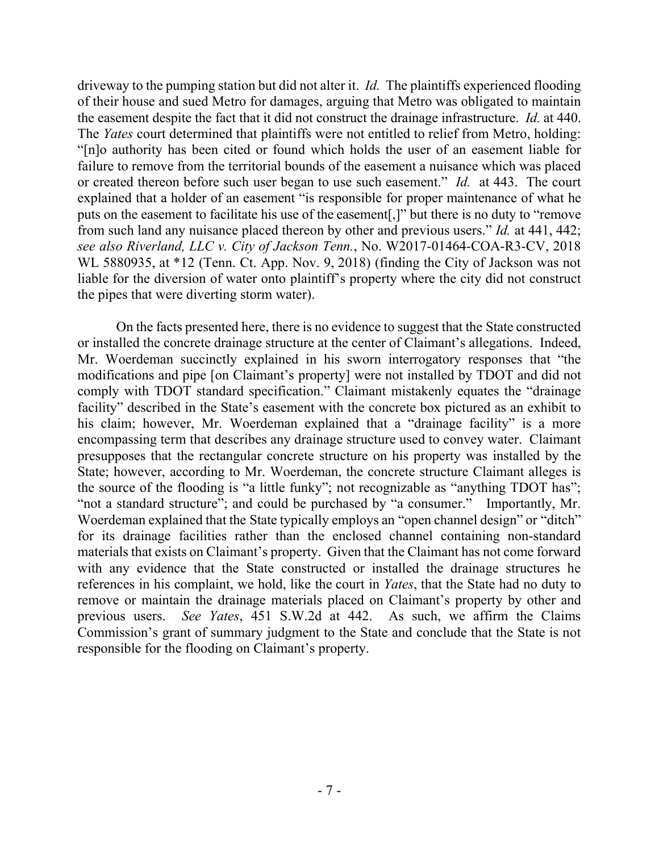driveway to the pumping station but did not alter it. *Id.* The plaintiffs experienced flooding of their house and sued Metro for damages, arguing that Metro was obligated to maintain the easement despite the fact that it did not construct the drainage infrastructure. *Id.* at 440. The *Yates* court determined that plaintiffs were not entitled to relief from Metro, holding: "[n]o authority has been cited or found which holds the user of an easement liable for failure to remove from the territorial bounds of the easement a nuisance which was placed or created thereon before such user began to use such easement." *Id.* at 443. The court explained that a holder of an easement "is responsible for proper maintenance of what he puts on the easement to facilitate his use of the easement[,]" but there is no duty to "remove from such land any nuisance placed thereon by other and previous users." *Id.* at 441, 442; *see also Riverland, LLC v. City of Jackson Tenn.*, No. W2017-01464-COA-R3-CV, 2018 WL 5880935, at \*12 (Tenn. Ct. App. Nov. 9, 2018) (finding the City of Jackson was not liable for the diversion of water onto plaintiff's property where the city did not construct the pipes that were diverting storm water).

On the facts presented here, there is no evidence to suggest that the State constructed or installed the concrete drainage structure at the center of Claimant's allegations. Indeed, Mr. Woerdeman succinctly explained in his sworn interrogatory responses that "the modifications and pipe [on Claimant's property] were not installed by TDOT and did not comply with TDOT standard specification." Claimant mistakenly equates the "drainage facility" described in the State's easement with the concrete box pictured as an exhibit to his claim; however, Mr. Woerdeman explained that a "drainage facility" is a more encompassing term that describes any drainage structure used to convey water. Claimant presupposes that the rectangular concrete structure on his property was installed by the State; however, according to Mr. Woerdeman, the concrete structure Claimant alleges is the source of the flooding is "a little funky"; not recognizable as "anything TDOT has"; "not a standard structure"; and could be purchased by "a consumer." Importantly, Mr. Woerdeman explained that the State typically employs an "open channel design" or "ditch" for its drainage facilities rather than the enclosed channel containing non-standard materials that exists on Claimant's property. Given that the Claimant has not come forward with any evidence that the State constructed or installed the drainage structures he references in his complaint, we hold, like the court in *Yates*, that the State had no duty to remove or maintain the drainage materials placed on Claimant's property by other and previous users. *See Yates*, 451 S.W.2d at 442. As such, we affirm the Claims Commission's grant of summary judgment to the State and conclude that the State is not responsible for the flooding on Claimant's property.